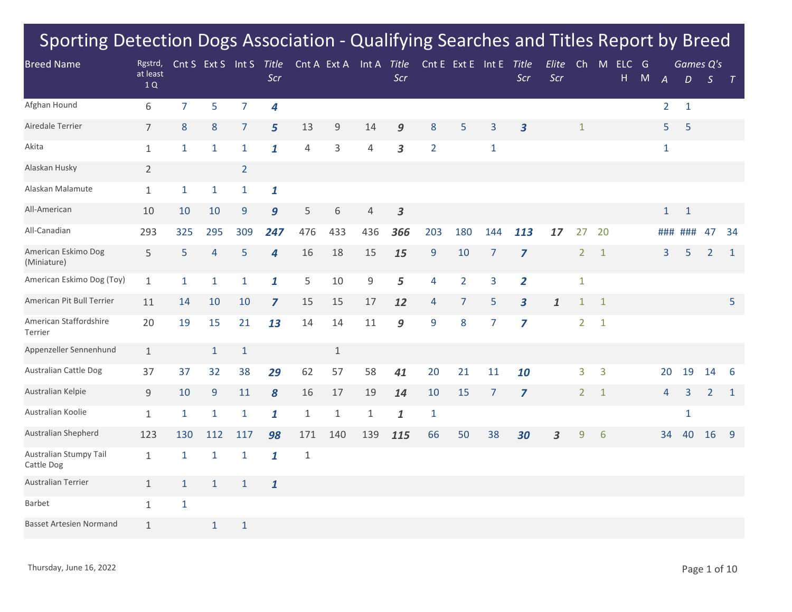| <b>Breed Name</b>                    | Rgstrd,        |                | Cnt S Ext S Int S |                | Title            |                | Cnt A Ext A  | Int A Title    |                  |                  | Cnt E Ext E Int E |                | Title                   | Elite              | Ch             | M            | ELC G |           |                | Games Q's    |                |              |
|--------------------------------------|----------------|----------------|-------------------|----------------|------------------|----------------|--------------|----------------|------------------|------------------|-------------------|----------------|-------------------------|--------------------|----------------|--------------|-------|-----------|----------------|--------------|----------------|--------------|
|                                      | at least<br>1Q |                |                   |                | Scr              |                |              |                | Scr              |                  |                   |                | Scr                     | Scr                |                |              | Н.    | ${\sf M}$ | $\overline{A}$ | D            | $\mathcal{S}$  | $\top$       |
| Afghan Hound                         | 6              | $\overline{7}$ | 5                 | $\overline{7}$ | $\boldsymbol{4}$ |                |              |                |                  |                  |                   |                |                         |                    |                |              |       |           | $\overline{2}$ | $\mathbf{1}$ |                |              |
| Airedale Terrier                     | $\overline{7}$ | 8              | $8\,$             | $\overline{7}$ | 5 <sup>5</sup>   | 13             | $9\,$        | 14             | 9                | 8                | 5                 | 3              | $\overline{\mathbf{3}}$ |                    | $\mathbf{1}$   |              |       |           | 5              | 5            |                |              |
| Akita                                | $\mathbf{1}$   | $\mathbf{1}$   | $\mathbf{1}$      | $\mathbf{1}$   | $\mathbf{1}$     | $\overline{4}$ | 3            | $\overline{4}$ | 3                | $\overline{2}$   |                   | $\mathbf{1}$   |                         |                    |                |              |       |           | $\mathbf{1}$   |              |                |              |
| Alaskan Husky                        | $\overline{2}$ |                |                   | $\overline{2}$ |                  |                |              |                |                  |                  |                   |                |                         |                    |                |              |       |           |                |              |                |              |
| Alaskan Malamute                     | $\mathbf{1}$   | $\mathbf{1}$   | 1                 | $\mathbf{1}$   | 1                |                |              |                |                  |                  |                   |                |                         |                    |                |              |       |           |                |              |                |              |
| All-American                         | 10             | 10             | 10                | 9              | 9                | 5              | 6            | 4              | $\boldsymbol{3}$ |                  |                   |                |                         |                    |                |              |       |           | $\mathbf{1}$   | $\mathbf{1}$ |                |              |
| All-Canadian                         | 293            | 325            | 295               | 309            | 247              | 476            | 433          | 436            | 366              | 203              | 180               | 144            | 113                     | 17                 | 27             | 20           |       |           | ###            | ###          | 47             | 34           |
| American Eskimo Dog<br>(Miniature)   | 5              | 5              | 4                 | 5              | $\overline{4}$   | 16             | 18           | 15             | 15               | $\boldsymbol{9}$ | 10                | $\overline{7}$ | $\overline{z}$          |                    | $\overline{2}$ | $\mathbf{1}$ |       |           | 3              | 5            | $\overline{2}$ | $\mathbf{1}$ |
| American Eskimo Dog (Toy)            | $\mathbf{1}$   | $\mathbf{1}$   | $\mathbf{1}$      | $\mathbf{1}$   | $\mathbf{1}$     | 5              | 10           | 9              | 5                | 4                | $\overline{2}$    | 3              | $\overline{2}$          |                    | $\mathbf{1}$   |              |       |           |                |              |                |              |
| American Pit Bull Terrier            | 11             | 14             | 10                | 10             | $\overline{z}$   | 15             | 15           | $17$           | 12               | 4                | $\overline{7}$    | 5              | $\overline{\mathbf{3}}$ | $\pmb{\mathit{1}}$ | $\mathbf{1}$   | $\mathbf{1}$ |       |           |                |              |                | 5            |
| American Staffordshire<br>Terrier    | 20             | 19             | 15                | 21             | 13               | 14             | 14           | 11             | 9                | 9                | 8                 | 7              | $\overline{z}$          |                    | $2^{\circ}$    | $\mathbf{1}$ |       |           |                |              |                |              |
| Appenzeller Sennenhund               | $\mathbf{1}$   |                | $\mathbf{1}$      | $\mathbf{1}$   |                  |                | $\mathbf{1}$ |                |                  |                  |                   |                |                         |                    |                |              |       |           |                |              |                |              |
| <b>Australian Cattle Dog</b>         | 37             | 37             | 32                | 38             | 29               | 62             | 57           | 58             | 41               | 20               | 21                | 11             | 10                      |                    | 3              | 3            |       |           | 20             | 19           | 14             | -6           |
| Australian Kelpie                    | $\overline{9}$ | 10             | $\overline{9}$    | 11             | $\boldsymbol{8}$ | 16             | 17           | 19             | 14               | 10               | 15                | $\overline{7}$ | $\overline{\mathbf{z}}$ |                    | $\overline{2}$ | $\mathbf{1}$ |       |           | $\overline{4}$ | 3            | $\overline{2}$ | $\mathbf{1}$ |
| Australian Koolie                    | $\mathbf{1}$   | $\mathbf{1}$   | 1                 | $\mathbf{1}$   | $\mathbf{1}$     | $\mathbf{1}$   | $1\,$        | $\mathbf{1}$   | 1                | $\mathbf{1}$     |                   |                |                         |                    |                |              |       |           |                | $\mathbf{1}$ |                |              |
| Australian Shepherd                  | 123            | 130            | 112               | 117            | 98               | 171            | 140          | 139            | 115              | 66               | 50                | 38             | 30                      | 3                  | 9              | 6            |       |           | 34             | 40           | 16             | -9           |
| Australian Stumpy Tail<br>Cattle Dog | $\mathbf{1}$   | $\mathbf{1}$   | 1                 | $\mathbf{1}$   | 1                | $\mathbf{1}$   |              |                |                  |                  |                   |                |                         |                    |                |              |       |           |                |              |                |              |
| <b>Australian Terrier</b>            | $\mathbf{1}$   | $\mathbf{1}$   | $\mathbf{1}$      | $\mathbf{1}$   | $\mathbf{1}$     |                |              |                |                  |                  |                   |                |                         |                    |                |              |       |           |                |              |                |              |
| Barbet                               | $\mathbf{1}$   | $\mathbf{1}$   |                   |                |                  |                |              |                |                  |                  |                   |                |                         |                    |                |              |       |           |                |              |                |              |
| <b>Basset Artesien Normand</b>       | $\mathbf{1}$   |                | $\mathbf{1}$      | $\mathbf{1}$   |                  |                |              |                |                  |                  |                   |                |                         |                    |                |              |       |           |                |              |                |              |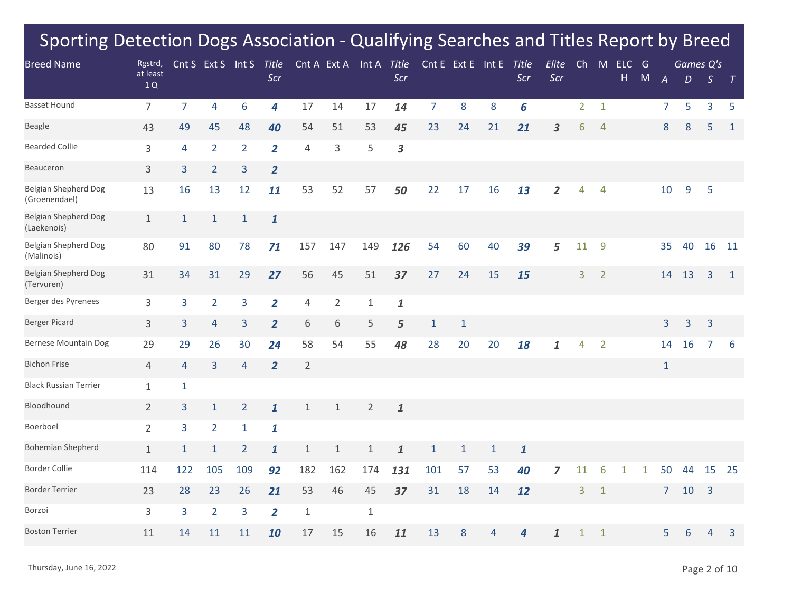| <b>Breed Name</b>                            | Rgstrd,        |                | Cnt S Ext S Int S |                | <b>Title</b>   |                |                | Cnt A Ext A Int A Title |                    |                | Cnt E Ext E Int E |              | <b>Title</b> | Elite                   | Ch             | M              | $ELC$ G |   |                |    | Games Q's      |              |
|----------------------------------------------|----------------|----------------|-------------------|----------------|----------------|----------------|----------------|-------------------------|--------------------|----------------|-------------------|--------------|--------------|-------------------------|----------------|----------------|---------|---|----------------|----|----------------|--------------|
|                                              | at least<br>1Q |                |                   |                | Scr            |                |                |                         | Scr                |                |                   |              | Scr          | Scr                     |                |                | H       | M | $\overline{A}$ | D  | $\mathcal{S}$  | $\top$       |
| <b>Basset Hound</b>                          | $\overline{7}$ | $\overline{7}$ | 4                 | 6              | 4              | 17             | 14             | 17                      | 14                 | $\overline{7}$ | 8                 | 8            | 6            |                         | $\overline{2}$ | $\mathbf{1}$   |         |   | $\overline{7}$ | 5  | 3              | 5            |
| <b>Beagle</b>                                | 43             | 49             | 45                | 48             | 40             | 54             | 51             | 53                      | 45                 | 23             | 24                | 21           | 21           | $\overline{\mathbf{3}}$ | 6              | $\overline{4}$ |         |   | 8              | 8  | 5              | $\mathbf{1}$ |
| <b>Bearded Collie</b>                        | 3              | 4              | $\overline{2}$    | $\overline{2}$ | $\overline{2}$ | 4              | 3              | 5                       | 3                  |                |                   |              |              |                         |                |                |         |   |                |    |                |              |
| Beauceron                                    | 3              | 3              | $\overline{2}$    | 3              | $\overline{2}$ |                |                |                         |                    |                |                   |              |              |                         |                |                |         |   |                |    |                |              |
| <b>Belgian Shepherd Dog</b><br>(Groenendael) | 13             | 16             | 13                | 12             | 11             | 53             | 52             | 57                      | 50                 | 22             | 17                | 16           | 13           | $\overline{2}$          | 4              | $\overline{4}$ |         |   | 10             | 9  | 5              |              |
| <b>Belgian Shepherd Dog</b><br>(Laekenois)   | $\mathbf{1}$   | $\mathbf{1}$   | $\mathbf{1}$      | $\mathbf{1}$   | $\mathbf{1}$   |                |                |                         |                    |                |                   |              |              |                         |                |                |         |   |                |    |                |              |
| <b>Belgian Shepherd Dog</b><br>(Malinois)    | 80             | 91             | 80                | 78             | 71             | 157            | 147            | 149                     | 126                | 54             | 60                | 40           | 39           | 5                       | 11             | $\overline{9}$ |         |   | 35             | 40 | 16             | 11           |
| <b>Belgian Shepherd Dog</b><br>(Tervuren)    | 31             | 34             | 31                | 29             | 27             | 56             | 45             | 51                      | 37                 | 27             | 24                | 15           | 15           |                         | 3              | $\overline{2}$ |         |   | 14             | 13 | 3              | $\mathbf{1}$ |
| Berger des Pyrenees                          | 3              | 3              | $\overline{2}$    | 3              | $\overline{2}$ | $\overline{4}$ | $\overline{2}$ | $\mathbf{1}$            | $\pmb{\mathit{1}}$ |                |                   |              |              |                         |                |                |         |   |                |    |                |              |
| <b>Berger Picard</b>                         | 3              | $\overline{3}$ | 4                 | 3              | $\overline{2}$ | 6              | 6              | 5                       | 5                  | $\mathbf{1}$   | $\mathbf{1}$      |              |              |                         |                |                |         |   | 3              | 3  | 3              |              |
| <b>Bernese Mountain Dog</b>                  | 29             | 29             | 26                | 30             | 24             | 58             | 54             | 55                      | 48                 | 28             | 20                | 20           | 18           | 1                       | $\overline{4}$ | $\overline{2}$ |         |   | 14             | 16 | $\overline{7}$ | 6            |
| <b>Bichon Frise</b>                          | 4              | $\overline{4}$ | 3                 | $\overline{4}$ | $\overline{2}$ | $\overline{2}$ |                |                         |                    |                |                   |              |              |                         |                |                |         |   | $\mathbf{1}$   |    |                |              |
| <b>Black Russian Terrier</b>                 | $\mathbf{1}$   | $\mathbf{1}$   |                   |                |                |                |                |                         |                    |                |                   |              |              |                         |                |                |         |   |                |    |                |              |
| Bloodhound                                   | $\overline{2}$ | $\overline{3}$ | $\mathbf{1}$      | $\overline{2}$ | $\mathbf{1}$   | $\mathbf 1$    | $1\,$          | $\overline{2}$          | $\pmb{\mathit{1}}$ |                |                   |              |              |                         |                |                |         |   |                |    |                |              |
| Boerboel                                     | $\overline{2}$ | 3              | $\overline{2}$    | $\mathbf{1}$   | $\mathbf{1}$   |                |                |                         |                    |                |                   |              |              |                         |                |                |         |   |                |    |                |              |
| <b>Bohemian Shepherd</b>                     | $\mathbf{1}$   | $\mathbf{1}$   | $\mathbf{1}$      | $\overline{2}$ | $\mathbf{1}$   | $1\,$          | $1\,$          | $\mathbf{1}$            | 1                  | $\mathbf{1}$   | $\mathbf{1}$      | $\mathbf{1}$ | $\mathbf{1}$ |                         |                |                |         |   |                |    |                |              |
| <b>Border Collie</b>                         | 114            | 122            | 105               | 109            | 92             | 182            | 162            | 174                     | 131                | 101            | 57                | 53           | 40           | 7                       | 11             |                |         | 1 | 50             | 44 | 15             | 25           |
| <b>Border Terrier</b>                        | 23             | 28             | 23                | 26             | 21             | 53             | 46             | 45                      | 37                 | 31             | 18                | 14           | 12           |                         | 3              | $\mathbf{1}$   |         |   | $\overline{7}$ | 10 | $\overline{3}$ |              |
| Borzoi                                       | 3              | 3              | $\overline{2}$    | 3              | $\overline{2}$ | $\mathbf{1}$   |                | $\mathbf{1}$            |                    |                |                   |              |              |                         |                |                |         |   |                |    |                |              |
| <b>Boston Terrier</b>                        | 11             | 14             | 11                | 11             | 10             | 17             | 15             | 16                      | 11                 | 13             | 8                 | 4            | 4            | 1                       | 1              | 1              |         |   | 5              | 6  | 4              | 3            |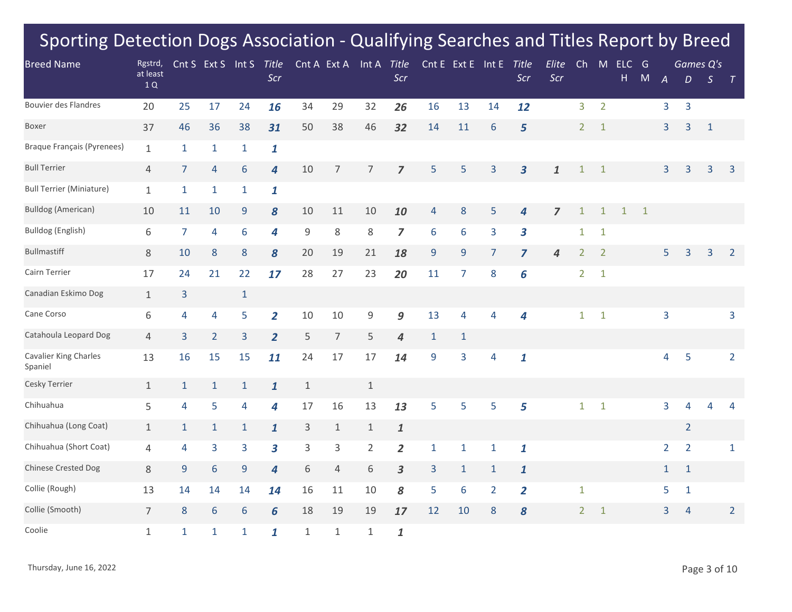| <b>Breed Name</b>                       | Rgstrd,        |                | Cnt S Ext S Int S |              | <b>Title</b>                |              | Cnt A Ext A      | Int A Title    |                    |                  | Cnt E Ext E Int E |                | Title                   | Elite          | Ch             | M              | $ELC$ G      |              |                | Games Q's      |               |                |
|-----------------------------------------|----------------|----------------|-------------------|--------------|-----------------------------|--------------|------------------|----------------|--------------------|------------------|-------------------|----------------|-------------------------|----------------|----------------|----------------|--------------|--------------|----------------|----------------|---------------|----------------|
|                                         | at least<br>1Q |                |                   |              | Scr                         |              |                  |                | Scr                |                  |                   |                | Scr                     | Scr            |                |                | Н.           | ${\sf M}$    | $\overline{A}$ | D              | $\mathcal{S}$ | $\top$         |
| Bouvier des Flandres                    | 20             | 25             | 17                | 24           | 16                          | 34           | 29               | 32             | 26                 | 16               | 13                | 14             | 12                      |                | 3              | $\overline{2}$ |              |              | 3              | $\overline{3}$ |               |                |
| <b>Boxer</b>                            | 37             | 46             | 36                | 38           | 31                          | 50           | 38               | 46             | 32                 | 14               | 11                | 6              | 5                       |                | $\overline{2}$ | $\mathbf{1}$   |              |              | 3              | 3              | $\mathbf{1}$  |                |
| <b>Braque Français (Pyrenees)</b>       | $\mathbf{1}$   | $\mathbf{1}$   | $\mathbf{1}$      | $\mathbf{1}$ | $\mathbf{1}$                |              |                  |                |                    |                  |                   |                |                         |                |                |                |              |              |                |                |               |                |
| <b>Bull Terrier</b>                     | $\overline{4}$ | $\overline{7}$ | 4                 | 6            | 4                           | 10           | 7                | $\overline{7}$ | 7                  | 5                | 5                 | 3              | $\overline{\mathbf{3}}$ | 1              | $\mathbf{1}$   | 1              |              |              | 3              | 3              | 3             | 3              |
| <b>Bull Terrier (Miniature)</b>         | $\mathbf{1}$   | $\mathbf{1}$   | $\mathbf{1}$      | $\mathbf{1}$ | $\mathbf{1}$                |              |                  |                |                    |                  |                   |                |                         |                |                |                |              |              |                |                |               |                |
| <b>Bulldog (American)</b>               | 10             | 11             | 10                | 9            | 8                           | 10           | 11               | 10             | 10                 | 4                | 8                 | 5              | $\overline{4}$          | $\overline{z}$ | $\mathbf{1}$   | $\mathbf{1}$   | $\mathbf{1}$ | $\mathbf{1}$ |                |                |               |                |
| Bulldog (English)                       | 6              | $\overline{7}$ | 4                 | 6            | 4                           | 9            | $\,8\,$          | $8\,$          | $\overline{z}$     | $6\,$            | 6                 | 3              | $\overline{\mathbf{3}}$ |                | $\mathbf{1}$   | $\mathbf{1}$   |              |              |                |                |               |                |
| <b>Bullmastiff</b>                      | $8\,$          | 10             | $\bf 8$           | 8            | 8                           | 20           | 19               | 21             | 18                 | $9\,$            | $9\,$             | 7              | $\overline{z}$          | 4              | 2              | $\overline{2}$ |              |              | 5              | 3              | 3             | $\overline{2}$ |
| Cairn Terrier                           | 17             | 24             | 21                | 22           | 17                          | 28           | 27               | 23             | 20                 | 11               | $\overline{7}$    | 8              | 6                       |                | $\overline{2}$ | $\mathbf{1}$   |              |              |                |                |               |                |
| Canadian Eskimo Dog                     | $\mathbf{1}$   | 3              |                   | $\mathbf{1}$ |                             |              |                  |                |                    |                  |                   |                |                         |                |                |                |              |              |                |                |               |                |
| Cane Corso                              | 6              | 4              | 4                 | 5            | $\overline{2}$              | 10           | 10               | 9              | 9                  | 13               | 4                 | 4              | 4                       |                | $\mathbf{1}$   | $\mathbf{1}$   |              |              | $\overline{3}$ |                |               | 3              |
| Catahoula Leopard Dog                   | $\overline{4}$ | 3              | $\overline{2}$    | 3            | $\overline{2}$              | 5            | $\boldsymbol{7}$ | 5              | 4                  | $\mathbf{1}$     | $\mathbf{1}$      |                |                         |                |                |                |              |              |                |                |               |                |
| <b>Cavalier King Charles</b><br>Spaniel | 13             | 16             | 15                | 15           | 11                          | 24           | 17               | 17             | 14                 | $\boldsymbol{9}$ | 3                 | 4              | $\mathbf{1}$            |                |                |                |              |              | 4              | 5              |               | $\overline{2}$ |
| Cesky Terrier                           | $\mathbf{1}$   | $\mathbf{1}$   | $\mathbf{1}$      | $\mathbf{1}$ | $\mathbf{1}$                | $\mathbf{1}$ |                  | $\mathbf{1}$   |                    |                  |                   |                |                         |                |                |                |              |              |                |                |               |                |
| Chihuahua                               | 5              | 4              | 5                 | 4            | 4                           | $17\,$       | 16               | 13             | 13                 | 5                | 5                 | 5              | 5                       |                | $\mathbf{1}$   | $\mathbf{1}$   |              |              | $\overline{3}$ | 4              | 4             | $\overline{4}$ |
| Chihuahua (Long Coat)                   | $\mathbf{1}$   | $\mathbf{1}$   | $\mathbf{1}$      | $\mathbf{1}$ | $\mathbf{1}$                | 3            | $\mathbf{1}$     | $1\,$          | $\pmb{\mathit{1}}$ |                  |                   |                |                         |                |                |                |              |              |                | $\overline{2}$ |               |                |
| Chihuahua (Short Coat)                  | 4              | 4              | 3                 | 3            | 3                           | 3            | 3                | $\overline{2}$ | $\overline{2}$     | $\mathbf{1}$     | $\mathbf{1}$      | $\mathbf{1}$   | $\mathbf{1}$            |                |                |                |              |              | $\overline{2}$ | $\overline{2}$ |               | $\mathbf{1}$   |
| <b>Chinese Crested Dog</b>              | $8\,$          | 9              | 6                 | $9$          | $\overline{\boldsymbol{4}}$ | 6            | $\overline{4}$   | 6              | $\mathbf{3}$       | 3                | $1\,$             | $\mathbf{1}$   | $\mathbf{1}$            |                |                |                |              |              | $\mathbf{1}$   | $\mathbf{1}$   |               |                |
| Collie (Rough)                          | 13             | 14             | 14                | 14           | 14                          | 16           | 11               | 10             | 8                  | 5                | 6                 | $\overline{2}$ | $\overline{2}$          |                | $\mathbf{1}$   |                |              |              | 5              | $\mathbf{1}$   |               |                |
| Collie (Smooth)                         | $\overline{7}$ | $\bf 8$        | 6                 | 6            | 6                           | 18           | 19               | 19             | 17                 | 12               | 10                | 8              | 8                       |                | $\overline{2}$ | $\mathbf{1}$   |              |              | $\overline{3}$ | $\overline{4}$ |               | $\overline{2}$ |
| Coolie                                  | $\mathbf{1}$   | $\mathbf{1}$   | $\mathbf{1}$      | $\mathbf{1}$ | $\mathbf{1}$                | $\mathbf{1}$ | $1\,$            | $\mathbf{1}$   | $\mathbf{1}$       |                  |                   |                |                         |                |                |                |              |              |                |                |               |                |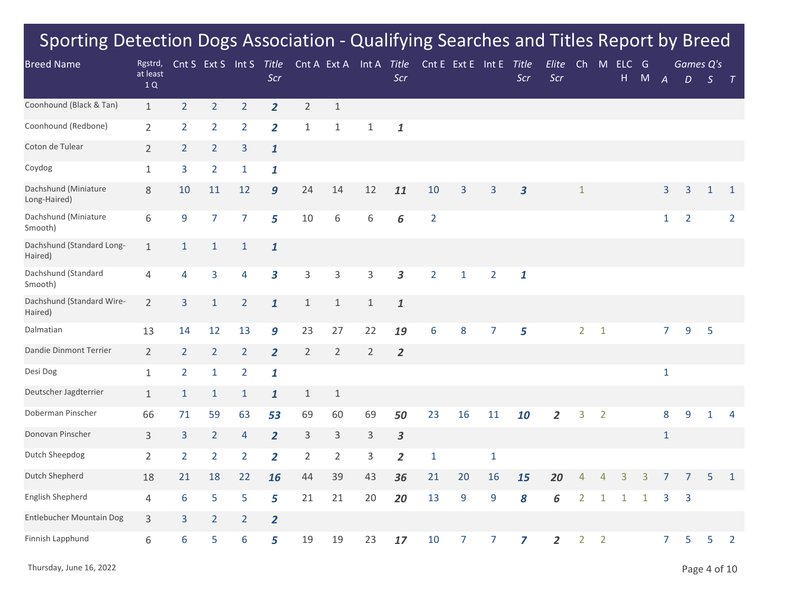| <b>Breed Name</b>                    | Rgstrd,        |                | Cnt S Ext S Int S |                | Title                   |                |                | Cnt A Ext A Int A Title |                         |                | Cnt E Ext E Int E |                | Title                   | Elite          | Ch             | M              | ELC          | G            |                  | Games Q's      |               |                |
|--------------------------------------|----------------|----------------|-------------------|----------------|-------------------------|----------------|----------------|-------------------------|-------------------------|----------------|-------------------|----------------|-------------------------|----------------|----------------|----------------|--------------|--------------|------------------|----------------|---------------|----------------|
|                                      | at least<br>1Q |                |                   |                | Scr                     |                |                |                         | Scr                     |                |                   |                | Scr                     | Scr            |                |                | Н            | ${\sf M}$    | $\boldsymbol{A}$ | D              | $\mathcal{S}$ | $\top$         |
| Coonhound (Black & Tan)              | $\mathbf{1}$   | 2 <sup>1</sup> | $\overline{2}$    | $\overline{2}$ | $\overline{2}$          | $\overline{2}$ | $1\,$          |                         |                         |                |                   |                |                         |                |                |                |              |              |                  |                |               |                |
| Coonhound (Redbone)                  | $\overline{2}$ | $\overline{2}$ | $\overline{2}$    | $\overline{2}$ | $\overline{2}$          | $\mathbf{1}$   | $\mathbf{1}$   | $\mathbf{1}$            | $\mathbf{1}$            |                |                   |                |                         |                |                |                |              |              |                  |                |               |                |
| Coton de Tulear                      | $\overline{2}$ | $\overline{2}$ | $\overline{2}$    | 3              | $\mathbf{1}$            |                |                |                         |                         |                |                   |                |                         |                |                |                |              |              |                  |                |               |                |
| Coydog                               | $\mathbf{1}$   | 3              | $\overline{2}$    | $\mathbf{1}$   | $\mathbf{1}$            |                |                |                         |                         |                |                   |                |                         |                |                |                |              |              |                  |                |               |                |
| Dachshund (Miniature<br>Long-Haired) | $8\,$          | 10             | 11                | 12             | 9                       | 24             | 14             | 12                      | 11                      | 10             | 3                 | 3              | $\overline{\mathbf{3}}$ |                | $\mathbf{1}$   |                |              |              | 3                | 3              | $\mathbf{1}$  | $\mathbf{1}$   |
| Dachshund (Miniature<br>Smooth)      | 6              | 9              | $\overline{7}$    | $\overline{7}$ | 5                       | 10             | 6              | 6                       | 6                       | $\overline{2}$ |                   |                |                         |                |                |                |              |              | $\mathbf{1}$     | $\overline{2}$ |               | $\overline{2}$ |
| Dachshund (Standard Long-<br>Haired) | $\mathbf{1}$   | $\mathbf{1}$   | $\mathbf{1}$      | $\mathbf{1}$   | $\mathbf{1}$            |                |                |                         |                         |                |                   |                |                         |                |                |                |              |              |                  |                |               |                |
| Dachshund (Standard<br>Smooth)       | 4              | 4              | 3                 | 4              | $\overline{\mathbf{3}}$ | 3              | $\mathsf 3$    | 3                       | $\overline{\mathbf{3}}$ | $\overline{2}$ | $\mathbf{1}$      | $\overline{2}$ | $\mathbf{1}$            |                |                |                |              |              |                  |                |               |                |
| Dachshund (Standard Wire-<br>Haired) | $\overline{2}$ | $\overline{3}$ | $\mathbf{1}$      | $\overline{2}$ | $\mathbf{1}$            | $\mathbf{1}$   | $1\,$          | $\mathbf{1}$            | $\mathbf{1}$            |                |                   |                |                         |                |                |                |              |              |                  |                |               |                |
| Dalmatian                            | 13             | 14             | 12                | 13             | 9                       | 23             | 27             | 22                      | 19                      | 6              | 8                 | $\overline{7}$ | 5                       |                | $\overline{2}$ | $\mathbf{1}$   |              |              | $\overline{7}$   | 9              | 5             |                |
| Dandie Dinmont Terrier               | $\overline{2}$ | $\overline{2}$ | $\overline{2}$    | $\overline{2}$ | $\overline{2}$          | $\overline{2}$ | $\overline{2}$ | $\overline{2}$          | $\overline{2}$          |                |                   |                |                         |                |                |                |              |              |                  |                |               |                |
| Desi Dog                             | $\mathbf{1}$   | $\overline{2}$ | $\mathbf{1}$      | $\overline{2}$ | $\mathbf{1}$            |                |                |                         |                         |                |                   |                |                         |                |                |                |              |              | $\mathbf 1$      |                |               |                |
| Deutscher Jagdterrier                | $\mathbf{1}$   | $\mathbf{1}$   | $\mathbf{1}$      | $\mathbf{1}$   | $\mathbf{1}$            | $\mathbf{1}$   | $\mathbf{1}$   |                         |                         |                |                   |                |                         |                |                |                |              |              |                  |                |               |                |
| Doberman Pinscher                    | 66             | 71             | 59                | 63             | 53                      | 69             | 60             | 69                      | 50                      | 23             | 16                | 11             | 10                      | $\overline{2}$ | 3              | $\overline{2}$ |              |              | 8                | 9              | 1             | 4              |
| Donovan Pinscher                     | 3              | $\overline{3}$ | $\overline{2}$    | 4              | $\overline{2}$          | 3              | $\mathsf 3$    | $\mathsf{3}$            | $\mathbf{3}$            |                |                   |                |                         |                |                |                |              |              | $\mathbf{1}$     |                |               |                |
| Dutch Sheepdog                       | $\overline{2}$ | $\overline{2}$ | $\overline{2}$    | $\overline{2}$ | $\overline{2}$          | $\overline{2}$ | $\overline{2}$ | 3                       | $\overline{2}$          | $\mathbf{1}$   |                   | $\mathbf{1}$   |                         |                |                |                |              |              |                  |                |               |                |
| Dutch Shepherd                       | 18             | 21             | 18                | 22             | 16                      | 44             | 39             | 43                      | 36                      | 21             | 20                | 16             | 15                      | 20             | $\overline{4}$ | 4              | 3            | 3            | $\overline{7}$   | 7              | 5             | $\mathbf{1}$   |
| English Shepherd                     | 4              | 6              | 5                 | 5              | 5                       | 21             | 21             | 20                      | 20                      | 13             | $\overline{9}$    | 9              | 8                       | 6              | $\overline{2}$ | 1              | $\mathbf{1}$ | $\mathbf{1}$ | 3                | 3              |               |                |
| Entlebucher Mountain Dog             | $\mathsf{3}$   | $\overline{3}$ | $\overline{2}$    | $\overline{2}$ | $\overline{2}$          |                |                |                         |                         |                |                   |                |                         |                |                |                |              |              |                  |                |               |                |
| Finnish Lapphund                     | 6              | 6              | 5                 | 6              | 5                       | 19             | 19             | 23                      | 17                      | 10             | 7                 | 7              | 7                       | 2              | $\overline{2}$ | $\overline{2}$ |              |              | 7                | 5              | 5             | 2              |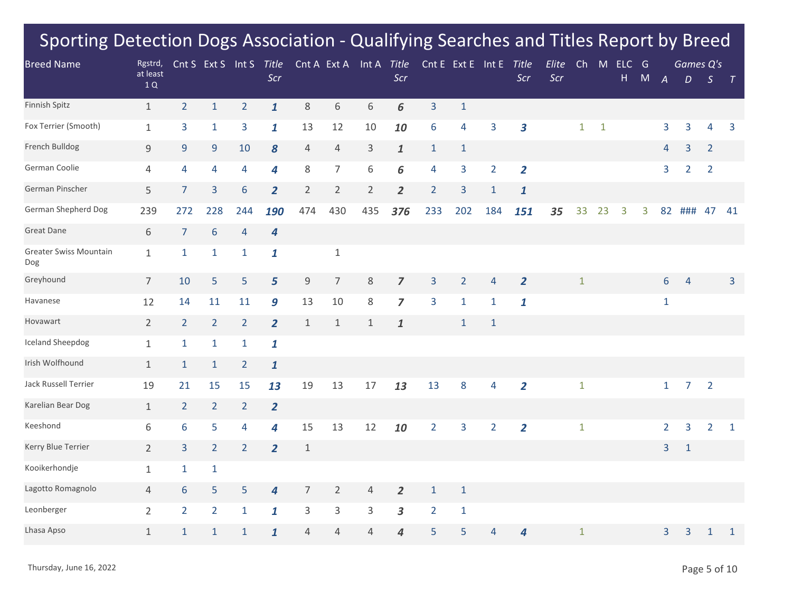| <b>Breed Name</b>             | Rgstrd,        |                 | Cnt S Ext S Int S |                | <b>Title</b>     |                | Cnt A Ext A               | Int A Title    |                |                         | Cnt E Ext E Int E |                | Title                   | Elite | Ch           | M            | ELC G |           |                  | Games Q's        |                |                |
|-------------------------------|----------------|-----------------|-------------------|----------------|------------------|----------------|---------------------------|----------------|----------------|-------------------------|-------------------|----------------|-------------------------|-------|--------------|--------------|-------|-----------|------------------|------------------|----------------|----------------|
|                               | at least<br>1Q |                 |                   |                | Scr              |                |                           |                | Scr            |                         |                   |                | Scr                     | Scr   |              |              | H.    | ${\sf M}$ | $\boldsymbol{A}$ | $\boldsymbol{D}$ | $\mathcal{S}$  | $\top$         |
| Finnish Spitz                 | $\mathbf{1}$   | 2 <sup>1</sup>  | $\mathbf{1}$      | $\overline{2}$ | $\mathbf{1}$     | 8              | 6                         | 6              | 6              | $\overline{3}$          | $\mathbf{1}$      |                |                         |       |              |              |       |           |                  |                  |                |                |
| Fox Terrier (Smooth)          | $\mathbf{1}$   | 3               | $\mathbf{1}$      | 3              | $\mathbf{1}$     | 13             | 12                        | 10             | 10             | 6                       | 4                 | 3              | $\overline{\mathbf{3}}$ |       | $\mathbf{1}$ | $\mathbf{1}$ |       |           | 3                | 3                | 4              | 3              |
| French Bulldog                | 9              | 9               | 9                 | 10             | 8                | $\overline{4}$ | $\overline{4}$            | $\mathsf{3}$   | $\mathbf{1}$   | $\mathbf{1}$            | $\mathbf{1}$      |                |                         |       |              |              |       |           | 4                | 3                | $\overline{2}$ |                |
| German Coolie                 | 4              | 4               | 4                 | 4              | 4                | 8              | $\overline{7}$            | 6              | 6              | $\overline{4}$          | 3                 | $\overline{2}$ | $\overline{2}$          |       |              |              |       |           | 3                | $\overline{2}$   | $\overline{2}$ |                |
| German Pinscher               | 5              | $\overline{7}$  | 3                 | 6              | $\overline{2}$   | $\overline{2}$ | $\overline{2}$            | $\overline{2}$ | $\overline{2}$ | $\overline{2}$          | 3                 | $\mathbf{1}$   | $\mathbf{1}$            |       |              |              |       |           |                  |                  |                |                |
| German Shepherd Dog           | 239            | 272             | 228               | 244            | 190              | 474            | 430                       | 435            | 376            | 233                     | 202               | 184            | 151                     | 35    | 33           | 23           | 3     | 3         | 82               | ###              | 47             | 41             |
| <b>Great Dane</b>             | $\,$ 6 $\,$    | $\overline{7}$  | 6                 | $\overline{4}$ | $\boldsymbol{4}$ |                |                           |                |                |                         |                   |                |                         |       |              |              |       |           |                  |                  |                |                |
| Greater Swiss Mountain<br>Dog | $\mathbf{1}$   | $\mathbf{1}$    | $\mathbf{1}$      | $\mathbf{1}$   | $\mathbf{1}$     |                | $\mathbf 1$               |                |                |                         |                   |                |                         |       |              |              |       |           |                  |                  |                |                |
| Greyhound                     | $\overline{7}$ | 10              | 5                 | 5              | 5                | $\mathsf 9$    | $\overline{7}$            | $8\,$          | $\overline{z}$ | $\overline{3}$          | $\overline{2}$    | $\overline{4}$ | $\overline{2}$          |       | $\mathbf{1}$ |              |       |           | $6\,$            | $\overline{4}$   |                | $\overline{3}$ |
| Havanese                      | 12             | 14              | 11                | 11             | 9                | 13             | 10                        | $\,8\,$        | $\overline{z}$ | $\overline{\mathbf{3}}$ | $\mathbf{1}$      | $\mathbf{1}$   | $\mathbf{1}$            |       |              |              |       |           | $\mathbf 1$      |                  |                |                |
| Hovawart                      | $\overline{2}$ | $\overline{2}$  | $\overline{2}$    | $\overline{2}$ | $\overline{2}$   | $1\,$          | $\mathbf 1$               | $\mathbf{1}$   | $\mathbf{1}$   |                         | $\mathbf{1}$      | $\mathbf{1}$   |                         |       |              |              |       |           |                  |                  |                |                |
| <b>Iceland Sheepdog</b>       | $\mathbf{1}$   | $\mathbf 1$     | $\mathbf{1}$      | $\mathbf{1}$   | 1                |                |                           |                |                |                         |                   |                |                         |       |              |              |       |           |                  |                  |                |                |
| Irish Wolfhound               | $\mathbf{1}$   | $\mathbf{1}$    | $\mathbf{1}$      | $\overline{2}$ | $\mathbf{1}$     |                |                           |                |                |                         |                   |                |                         |       |              |              |       |           |                  |                  |                |                |
| Jack Russell Terrier          | 19             | 21              | 15                | 15             | 13               | 19             | 13                        | 17             | 13             | 13                      | 8                 | 4              | $\overline{2}$          |       | $\mathbf{1}$ |              |       |           | $\mathbf{1}$     | $\overline{7}$   | $\overline{2}$ |                |
| Karelian Bear Dog             | $\mathbf{1}$   | $\overline{2}$  | $\overline{2}$    | $\overline{2}$ | $\overline{2}$   |                |                           |                |                |                         |                   |                |                         |       |              |              |       |           |                  |                  |                |                |
| Keeshond                      | 6              | 6               | 5                 | 4              | 4                | 15             | 13                        | 12             | 10             | $\overline{2}$          | 3                 | $\overline{2}$ | $\overline{\mathbf{2}}$ |       | $\mathbf{1}$ |              |       |           | $\overline{2}$   | 3                | $\overline{2}$ | $\mathbf{1}$   |
| Kerry Blue Terrier            | $\overline{2}$ | $\overline{3}$  | $\overline{2}$    | $\overline{2}$ | $\overline{2}$   | $\mathbf{1}$   |                           |                |                |                         |                   |                |                         |       |              |              |       |           | $\overline{3}$   | $\mathbf{1}$     |                |                |
| Kooikerhondje                 | $\mathbf{1}$   | $\mathbf{1}$    | $\mathbf{1}$      |                |                  |                |                           |                |                |                         |                   |                |                         |       |              |              |       |           |                  |                  |                |                |
| Lagotto Romagnolo             | $\overline{4}$ | $6\phantom{1}6$ | 5                 | 5              | 4                | $\overline{7}$ | $\overline{2}$            | 4              | $\overline{2}$ | $\mathbf{1}$            | $\mathbf{1}$      |                |                         |       |              |              |       |           |                  |                  |                |                |
| Leonberger                    | $\overline{2}$ | $\overline{2}$  | $\overline{2}$    | $\mathbf{1}$   | $\mathbf{1}$     | 3              | $\ensuremath{\mathsf{3}}$ | 3              | 3              | $\overline{2}$          | $\mathbf 1$       |                |                         |       |              |              |       |           |                  |                  |                |                |
| Lhasa Apso                    | $\mathbf 1$    | $\mathbf{1}$    | 1                 | 1              | $\mathbf{1}$     | $\sqrt{4}$     | 4                         | 4              | 4              | 5                       | 5                 | 4              | 4                       |       | $\mathbf{1}$ |              |       |           | 3                | 3                | $\mathbf{1}$   | $\mathbf{1}$   |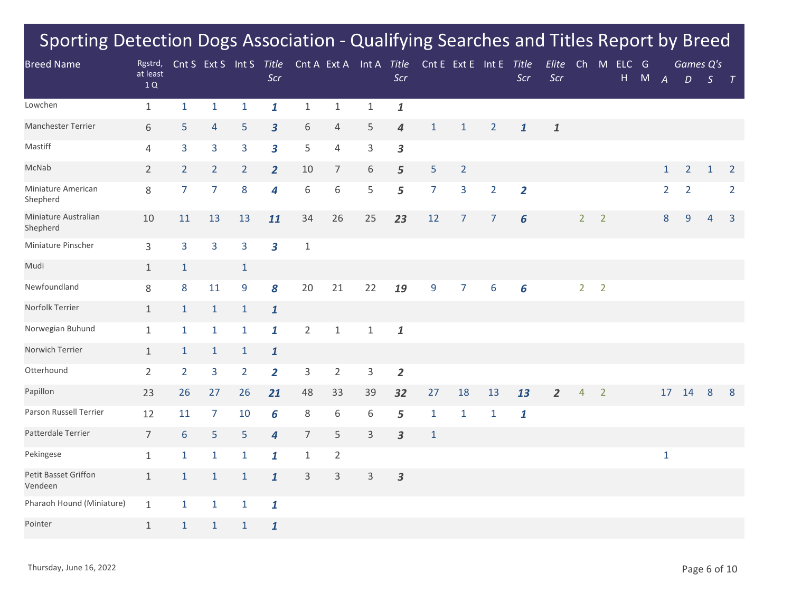| <b>Breed Name</b>                | Rgstrd,        |                | Cnt S Ext S Int S |                | Title                   |                |                | Cnt A Ext A Int A Title |                         |                | Cnt E Ext E Int E |                | Title          | Elite          | Ch             | M              | ELC | G |                  | Games Q's      |               |                |
|----------------------------------|----------------|----------------|-------------------|----------------|-------------------------|----------------|----------------|-------------------------|-------------------------|----------------|-------------------|----------------|----------------|----------------|----------------|----------------|-----|---|------------------|----------------|---------------|----------------|
|                                  | at least<br>1Q |                |                   |                | Scr                     |                |                |                         | Scr                     |                |                   |                | Scr            | Scr            |                |                | H   | M | $\boldsymbol{A}$ | D              | $\mathcal{S}$ | $\top$         |
| Lowchen                          | $\mathbf{1}$   | $\mathbf{1}$   | $\mathbf{1}$      | $\mathbf{1}$   | $\mathbf{1}$            | $\mathbf{1}$   | $\,1\,$        | $\mathbf{1}$            | $\mathbf{1}$            |                |                   |                |                |                |                |                |     |   |                  |                |               |                |
| Manchester Terrier               | 6              | 5              | 4                 | 5              | $\mathbf{3}$            | 6              | $\overline{4}$ | 5                       | $\boldsymbol{4}$        | $\mathbf{1}$   | $\mathbf{1}$      | $\overline{2}$ | $\mathbf{1}$   | $\mathbf{1}$   |                |                |     |   |                  |                |               |                |
| Mastiff                          | 4              | 3              | 3                 | 3              | $\overline{\mathbf{3}}$ | 5              | 4              | 3                       | 3                       |                |                   |                |                |                |                |                |     |   |                  |                |               |                |
| McNab                            | $\overline{2}$ | $\overline{2}$ | $2^{\circ}$       | $\overline{2}$ | $\overline{2}$          | 10             | $\overline{7}$ | 6                       | 5                       | 5              | $\overline{2}$    |                |                |                |                |                |     |   | $\mathbf{1}$     | $\overline{2}$ | $\mathbf{1}$  | $\overline{2}$ |
| Miniature American<br>Shepherd   | 8              | $\overline{7}$ | $\overline{7}$    | 8              | 4                       | 6              | $\,$ 6 $\,$    | 5                       | 5                       | $\overline{7}$ | 3                 | $\overline{2}$ | $\overline{2}$ |                |                |                |     |   | $\overline{2}$   | $\overline{2}$ |               | $\overline{2}$ |
| Miniature Australian<br>Shepherd | 10             | 11             | 13                | 13             | 11                      | 34             | 26             | 25                      | 23                      | 12             | $\overline{7}$    | $\overline{7}$ | 6              |                | 2 <sup>1</sup> | $\overline{2}$ |     |   | 8                | $\overline{9}$ | 4             | $\overline{3}$ |
| Miniature Pinscher               | 3              | 3              | 3                 | 3              | 3                       | $\mathbf{1}$   |                |                         |                         |                |                   |                |                |                |                |                |     |   |                  |                |               |                |
| Mudi                             | $\mathbf{1}$   | $\mathbf{1}$   |                   | $\mathbf{1}$   |                         |                |                |                         |                         |                |                   |                |                |                |                |                |     |   |                  |                |               |                |
| Newfoundland                     | $8\,$          | 8              | 11                | 9              | 8                       | 20             | 21             | 22                      | 19                      | 9              | $\overline{7}$    | 6              | 6              |                | $\overline{2}$ | $\overline{2}$ |     |   |                  |                |               |                |
| Norfolk Terrier                  | $\mathbf{1}$   | $\mathbf{1}$   | $\mathbf{1}$      | $\mathbf{1}$   | $\mathbf{1}$            |                |                |                         |                         |                |                   |                |                |                |                |                |     |   |                  |                |               |                |
| Norwegian Buhund                 | $\mathbf{1}$   | $\mathbf{1}$   | $\mathbf{1}$      | $\mathbf{1}$   | $\mathbf{1}$            | $\overline{2}$ | $1\,$          | $\mathbf{1}$            | $\pmb{\mathit{1}}$      |                |                   |                |                |                |                |                |     |   |                  |                |               |                |
| Norwich Terrier                  | $\mathbf{1}$   | $\mathbf{1}$   | $\mathbf{1}$      | $\mathbf{1}$   | $\mathbf{1}$            |                |                |                         |                         |                |                   |                |                |                |                |                |     |   |                  |                |               |                |
| Otterhound                       | $\overline{2}$ | $\overline{2}$ | $\overline{3}$    | $\overline{2}$ | $\overline{2}$          | $\mathsf 3$    | $\overline{2}$ | 3                       | $\overline{2}$          |                |                   |                |                |                |                |                |     |   |                  |                |               |                |
| Papillon                         | 23             | 26             | 27                | 26             | 21                      | 48             | 33             | 39                      | 32                      | 27             | 18                | 13             | 13             | $\overline{2}$ | $\overline{4}$ | $\overline{2}$ |     |   | 17               | 14             | 8             | 8              |
| Parson Russell Terrier           | 12             | 11             | $\overline{7}$    | 10             | 6                       | $\,8\,$        | 6              | 6                       | 5                       | $1\,$          | $\mathbf{1}$      | $\mathbf{1}$   | $\mathbf{1}$   |                |                |                |     |   |                  |                |               |                |
| Patterdale Terrier               | $\overline{7}$ | $6\phantom{1}$ | 5                 | 5              | $\overline{4}$          | $\overline{7}$ | 5              | 3                       | $\overline{\mathbf{3}}$ | $\mathbf{1}$   |                   |                |                |                |                |                |     |   |                  |                |               |                |
| Pekingese                        | $\mathbf{1}$   | $\mathbf{1}$   | $\mathbf{1}$      | $\mathbf{1}$   | $\mathbf{1}$            | $\mathbf{1}$   | $\overline{2}$ |                         |                         |                |                   |                |                |                |                |                |     |   | $1\,$            |                |               |                |
| Petit Basset Griffon<br>Vendeen  | $\mathbf{1}$   | $\mathbf{1}$   | $\mathbf{1}$      | $\mathbf{1}$   | $\mathbf{1}$            | 3              | $\mathsf 3$    | 3                       | 3                       |                |                   |                |                |                |                |                |     |   |                  |                |               |                |
| Pharaoh Hound (Miniature)        | $\mathbf{1}$   | $\mathbf{1}$   | $\mathbf{1}$      | $\mathbf{1}$   | 1                       |                |                |                         |                         |                |                   |                |                |                |                |                |     |   |                  |                |               |                |
| Pointer                          | $\mathbf{1}$   | $\mathbf{1}$   | $\mathbf{1}$      | $\mathbf{1}$   | $\mathbf{1}$            |                |                |                         |                         |                |                   |                |                |                |                |                |     |   |                  |                |               |                |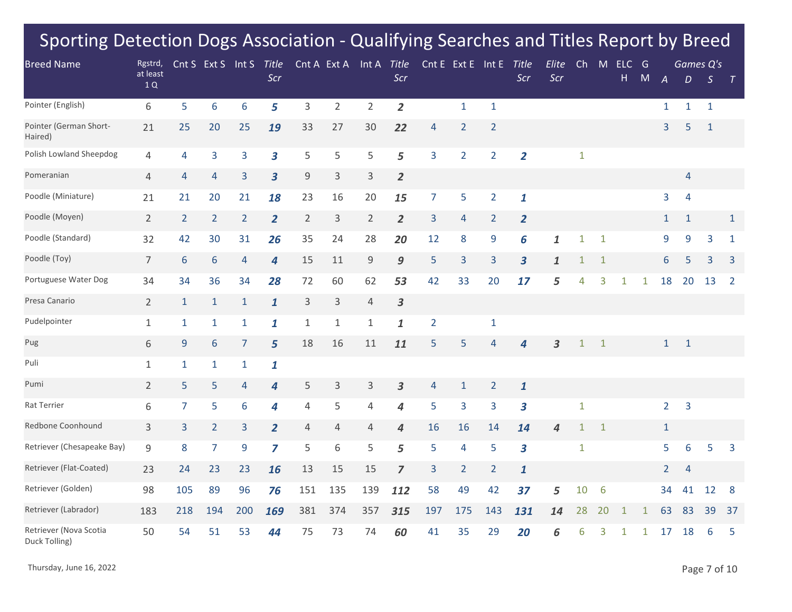| <b>Breed Name</b>                       | Rgstrd,        |                 | Cnt S Ext S Int S |                | Title                   |                | Cnt A Ext A    | Int A Title    |                |                | Cnt E Ext E Int E |                | Title                   | Elite | Ch           | M            | ELC          | G            |                |                | Games Q's        |                |
|-----------------------------------------|----------------|-----------------|-------------------|----------------|-------------------------|----------------|----------------|----------------|----------------|----------------|-------------------|----------------|-------------------------|-------|--------------|--------------|--------------|--------------|----------------|----------------|------------------|----------------|
|                                         | at least<br>1Q |                 |                   |                | Scr                     |                |                |                | Scr            |                |                   |                | Scr                     | Scr   |              |              | H            | M            | $\overline{A}$ | D              | $\boldsymbol{S}$ | T              |
| Pointer (English)                       | 6              | 5               | 6                 | 6              | 5                       | 3              | $\overline{2}$ | $\overline{2}$ | $\overline{2}$ |                | $\mathbf{1}$      | $\mathbf{1}$   |                         |       |              |              |              |              | $\mathbf{1}$   | $\mathbf{1}$   | $\mathbf{1}$     |                |
| Pointer (German Short-<br>Haired)       | 21             | 25              | 20                | 25             | 19                      | 33             | 27             | 30             | 22             | $\overline{4}$ | $\overline{2}$    | $\overline{2}$ |                         |       |              |              |              |              | $\overline{3}$ | 5              | $\mathbf{1}$     |                |
| Polish Lowland Sheepdog                 | 4              | $\overline{4}$  | 3                 | 3              | $\overline{\mathbf{3}}$ | 5              | 5              | 5              | 5              | 3              | $\overline{2}$    | $\overline{2}$ | $\overline{2}$          |       | $\mathbf{1}$ |              |              |              |                |                |                  |                |
| Pomeranian                              | 4              | $\overline{4}$  | 4                 | 3              | $\overline{\mathbf{3}}$ | 9              | 3              | $\mathsf{3}$   | $\overline{2}$ |                |                   |                |                         |       |              |              |              |              |                | 4              |                  |                |
| Poodle (Miniature)                      | 21             | 21              | 20                | 21             | 18                      | 23             | 16             | 20             | 15             | $\overline{7}$ | 5                 | $\overline{2}$ | $\mathbf{1}$            |       |              |              |              |              | 3              | $\overline{4}$ |                  |                |
| Poodle (Moyen)                          | $\overline{2}$ | $\overline{2}$  | $\overline{2}$    | $\overline{2}$ | $\overline{2}$          | $\overline{2}$ | 3              | $\overline{2}$ | $\overline{2}$ | 3              | $\overline{4}$    | $\overline{2}$ | $\overline{2}$          |       |              |              |              |              | $\mathbf{1}$   | $\mathbf{1}$   |                  | $\mathbf{1}$   |
| Poodle (Standard)                       | 32             | 42              | 30                | 31             | 26                      | 35             | 24             | 28             | 20             | 12             | 8                 | 9              | 6                       | 1     | 1            | $\mathbf{1}$ |              |              | 9              | 9              | 3                | $\mathbf{1}$   |
| Poodle (Toy)                            | $\overline{7}$ | $6\phantom{1}6$ | 6                 | $\overline{4}$ | 4                       | 15             | 11             | 9              | 9              | 5              | 3                 | 3              | $\overline{\mathbf{3}}$ | 1     | $\mathbf{1}$ | 1            |              |              | 6              | 5              | 3                | 3              |
| Portuguese Water Dog                    | 34             | 34              | 36                | 34             | 28                      | 72             | 60             | 62             | 53             | 42             | 33                | 20             | 17                      | 5     | 4            | 3            | $\mathbf{1}$ | $\mathbf{1}$ | 18             | 20             | 13               | $\overline{2}$ |
| Presa Canario                           | $\overline{2}$ | $\mathbf{1}$    | $\mathbf{1}$      | $\mathbf{1}$   | $\mathbf{1}$            | $\mathsf{3}$   | 3              | $\overline{4}$ | 3              |                |                   |                |                         |       |              |              |              |              |                |                |                  |                |
| Pudelpointer                            | $\mathbf{1}$   | $\mathbf{1}$    | $\mathbf{1}$      | $\mathbf{1}$   | $\mathbf{1}$            | $\mathbf{1}$   | $\mathbf{1}$   | $\mathbf{1}$   | 1              | $\overline{2}$ |                   | $\mathbf{1}$   |                         |       |              |              |              |              |                |                |                  |                |
| Pug                                     | 6              | $\overline{9}$  | 6                 | $\overline{7}$ | 5                       | 18             | 16             | 11             | 11             | 5              | 5                 | 4              | 4                       | 3     | $\mathbf 1$  | $\mathbf{1}$ |              |              | $\mathbf{1}$   | $\mathbf{1}$   |                  |                |
| Puli                                    | 1              | $\mathbf{1}$    | 1                 | 1              | 1                       |                |                |                |                |                |                   |                |                         |       |              |              |              |              |                |                |                  |                |
| Pumi                                    | $\overline{2}$ | 5               | 5                 | $\overline{4}$ | 4                       | 5              | 3              | 3              | 3              | 4              | $\mathbf{1}$      | $\overline{2}$ | $\mathbf{1}$            |       |              |              |              |              |                |                |                  |                |
| Rat Terrier                             | 6              | $\overline{7}$  | 5                 | 6              | 4                       | $\overline{4}$ | 5              | $\overline{4}$ | 4              | 5              | 3                 | 3              | $\overline{\mathbf{3}}$ |       | $\mathbf{1}$ |              |              |              | $\overline{2}$ | $\overline{3}$ |                  |                |
| Redbone Coonhound                       | 3              | 3               | $\overline{2}$    | 3              | $\overline{2}$          | $\overline{4}$ | 4              | 4              | 4              | 16             | 16                | 14             | 14                      | 4     | 1            | 1            |              |              | $\mathbf{1}$   |                |                  |                |
| Retriever (Chesapeake Bay)              | 9              | 8               | $\overline{7}$    | 9              | $\overline{z}$          | 5              | 6              | 5              | 5              | 5              | 4                 | 5              | $\overline{\mathbf{3}}$ |       | $\mathbf{1}$ |              |              |              | 5              | 6              | 5                | 3              |
| Retriever (Flat-Coated)                 | 23             | 24              | 23                | 23             | 16                      | 13             | 15             | 15             | 7              | 3              | $\overline{2}$    | $\overline{2}$ | $\mathbf{1}$            |       |              |              |              |              | $\overline{2}$ | $\overline{4}$ |                  |                |
| Retriever (Golden)                      | 98             | 105             | 89                | 96             | 76                      | 151            | 135            | 139            | 112            | 58             | 49                | 42             | 37                      | 5     | 10           | 6            |              |              | 34             | 41             | 12               | 8              |
| Retriever (Labrador)                    | 183            | 218             | 194               | 200            | 169                     | 381            | 374            | 357            | 315            | 197            | 175               | 143            | 131                     | 14    | 28           | 20           | 1            | 1            | 63             | 83             | 39               | 37             |
| Retriever (Nova Scotia<br>Duck Tolling) | 50             | 54              | 51                | 53             | 44                      | 75             | 73             | 74             | 60             | 41             | 35                | 29             | 20                      | 6     | 6            | 3            | 1            | $\mathbf{1}$ | 17             | 18             | 6                | 5              |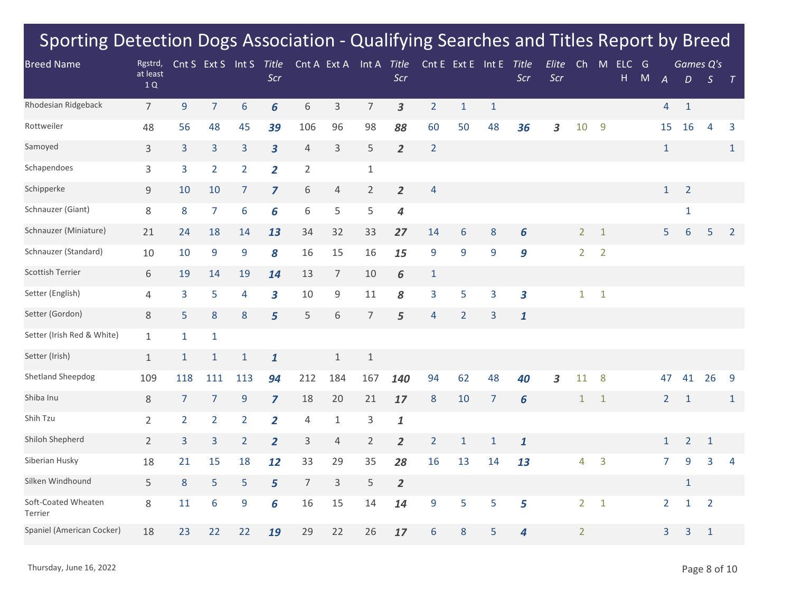| <b>Breed Name</b>              | Rgstrd,        |                | Cnt S Ext S Int S |                | Title                   |                | Cnt A Ext A    | Int A Title    |                    |                | Cnt E Ext E Int E |                | Title                   | Elite | Ch             | M              | ELC G |   |                |                | Games Q's      |                |
|--------------------------------|----------------|----------------|-------------------|----------------|-------------------------|----------------|----------------|----------------|--------------------|----------------|-------------------|----------------|-------------------------|-------|----------------|----------------|-------|---|----------------|----------------|----------------|----------------|
|                                | at least<br>1Q |                |                   |                | Scr                     |                |                |                | Scr                |                |                   |                | Scr                     | Scr   |                |                | H     | M | $\overline{A}$ | D              | S              | $\top$         |
| Rhodesian Ridgeback            | $\overline{7}$ | 9              | $\overline{7}$    | 6              | 6                       | 6              | $\mathsf 3$    | $\overline{7}$ | $\mathbf{3}$       | $\overline{2}$ | $1\,$             | $\mathbf 1$    |                         |       |                |                |       |   | $\overline{4}$ | $\mathbf{1}$   |                |                |
| Rottweiler                     | 48             | 56             | 48                | 45             | 39                      | 106            | 96             | 98             | 88                 | 60             | 50                | 48             | 36                      | 3     | 10             | 9              |       |   | 15             | 16             | 4              | 3              |
| Samoyed                        | 3              | $\overline{3}$ | 3                 | 3              | $\mathbf{3}$            | 4              | $\mathsf 3$    | 5              | $\overline{2}$     | $\overline{2}$ |                   |                |                         |       |                |                |       |   | $1\,$          |                |                | $\mathbf{1}$   |
| Schapendoes                    | 3              | 3              | $\overline{2}$    | $\overline{2}$ | $\overline{2}$          | $\overline{2}$ |                | $\mathbf{1}$   |                    |                |                   |                |                         |       |                |                |       |   |                |                |                |                |
| Schipperke                     | 9              | 10             | 10                | $\overline{7}$ | $\overline{\mathbf{z}}$ | 6              | $\sqrt{4}$     | $\overline{2}$ | $\overline{2}$     | $\overline{4}$ |                   |                |                         |       |                |                |       |   | $\mathbf{1}$   | $\overline{2}$ |                |                |
| Schnauzer (Giant)              | 8              | $\bf 8$        | $\overline{7}$    | 6              | 6                       | 6              | 5              | 5              | $\boldsymbol{4}$   |                |                   |                |                         |       |                |                |       |   |                | $\mathbf 1$    |                |                |
| Schnauzer (Miniature)          | 21             | 24             | 18                | 14             | 13                      | 34             | 32             | 33             | 27                 | 14             | 6                 | 8              | 6                       |       | $\overline{2}$ | $\mathbf{1}$   |       |   | 5              | 6              | 5              | $\overline{2}$ |
| Schnauzer (Standard)           | 10             | 10             | 9                 | 9              | 8                       | 16             | 15             | 16             | 15                 | 9              | 9                 | 9              | 9                       |       | $\overline{2}$ | $\overline{2}$ |       |   |                |                |                |                |
| <b>Scottish Terrier</b>        | 6              | 19             | 14                | 19             | 14                      | 13             | $\overline{7}$ | 10             | 6                  | $\mathbf{1}$   |                   |                |                         |       |                |                |       |   |                |                |                |                |
| Setter (English)               | 4              | 3              | 5                 | 4              | $\overline{\mathbf{3}}$ | 10             | $\mathsf 9$    | 11             | 8                  | 3              | 5                 | 3              | $\overline{\mathbf{3}}$ |       | $\mathbf{1}$   | $\mathbf{1}$   |       |   |                |                |                |                |
| Setter (Gordon)                | 8              | 5              | 8                 | 8              | 5                       | 5              | 6              | $\overline{7}$ | 5                  | $\overline{4}$ | $\overline{2}$    | 3              | $\mathbf{1}$            |       |                |                |       |   |                |                |                |                |
| Setter (Irish Red & White)     | $\mathbf{1}$   | $\mathbf{1}$   | $\mathbf{1}$      |                |                         |                |                |                |                    |                |                   |                |                         |       |                |                |       |   |                |                |                |                |
| Setter (Irish)                 | $\mathbf{1}$   | $\mathbf{1}$   | $\mathbf{1}$      | $\mathbf{1}$   | $\mathbf{1}$            |                | $1\,$          | $1\,$          |                    |                |                   |                |                         |       |                |                |       |   |                |                |                |                |
| Shetland Sheepdog              | 109            | 118            | 111               | 113            | 94                      | 212            | 184            | 167            | 140                | 94             | 62                | 48             | 40                      | 3     | 11             | 8              |       |   | 47             | 41             | 26             | 9              |
| Shiba Inu                      | 8              | $\overline{7}$ | $\overline{7}$    | 9              | $\overline{z}$          | 18             | 20             | 21             | 17                 | 8              | 10                | $\overline{7}$ | 6                       |       | $\mathbf{1}$   | $\mathbf{1}$   |       |   | $\overline{2}$ | $\mathbf{1}$   |                | $\mathbf{1}$   |
| Shih Tzu                       | $\overline{2}$ | $\overline{2}$ | $\overline{2}$    | $\overline{2}$ | $\overline{2}$          | $\overline{4}$ | $\mathbf{1}$   | 3              | $\pmb{\mathit{1}}$ |                |                   |                |                         |       |                |                |       |   |                |                |                |                |
| Shiloh Shepherd                | $\overline{2}$ | $\overline{3}$ | 3                 | $\overline{2}$ | $\overline{2}$          | 3              | 4              | $\overline{2}$ | $\overline{2}$     | $\overline{2}$ | $\mathbf{1}$      | $\mathbf{1}$   | $\mathbf{1}$            |       |                |                |       |   | $\mathbf{1}$   | $\overline{2}$ | $\mathbf{1}$   |                |
| Siberian Husky                 | 18             | 21             | 15                | 18             | 12                      | 33             | 29             | 35             | 28                 | 16             | 13                | 14             | 13                      |       | $\overline{4}$ | 3              |       |   | $\overline{7}$ | 9              | 3              | 4              |
| Silken Windhound               | 5              | 8              | 5                 | 5              | 5                       | $\overline{7}$ | 3              | 5              | $\overline{2}$     |                |                   |                |                         |       |                |                |       |   |                | $\mathbf{1}$   |                |                |
| Soft-Coated Wheaten<br>Terrier | 8              | 11             | 6                 | 9              | 6                       | 16             | 15             | 14             | 14                 | 9              | 5                 | 5              | 5                       |       | $\overline{2}$ | $\mathbf{1}$   |       |   | $\overline{2}$ | 1              | $\overline{2}$ |                |
| Spaniel (American Cocker)      | 18             | 23             | 22                | 22             | 19                      | 29             | 22             | 26             | 17                 | 6              | 8                 | 5              | 4                       |       | $\overline{2}$ |                |       |   | 3              | 3              | $\mathbf{1}$   |                |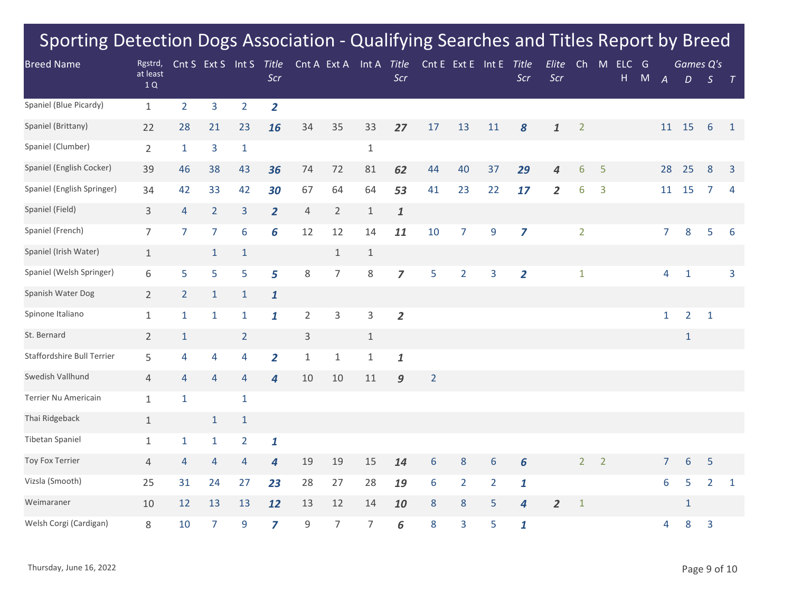| <b>Breed Name</b>          | Rgstrd,        |                | Cnt S Ext S    | Int S          | Title          |                | Cnt A Ext A    | Int A        | Title              |                | Cnt E Ext E Int E |                | <b>Title</b>   | Elite          | Ch              | M              | <b>ELC</b> | G         |                  | Games Q's      |                 |                |
|----------------------------|----------------|----------------|----------------|----------------|----------------|----------------|----------------|--------------|--------------------|----------------|-------------------|----------------|----------------|----------------|-----------------|----------------|------------|-----------|------------------|----------------|-----------------|----------------|
|                            | at least<br>1Q |                |                |                | Scr            |                |                |              | Scr                |                |                   |                | Scr            | Scr            |                 |                | H          | ${\sf M}$ | $\boldsymbol{A}$ | D              | $\mathcal{S}$   | $\top$         |
| Spaniel (Blue Picardy)     | $\mathbf{1}$   | $\overline{2}$ | $\overline{3}$ | $\overline{2}$ | $\overline{2}$ |                |                |              |                    |                |                   |                |                |                |                 |                |            |           |                  |                |                 |                |
| Spaniel (Brittany)         | 22             | 28             | 21             | 23             | 16             | 34             | 35             | 33           | 27                 | 17             | 13                | 11             | 8              | $\mathbf{1}$   | $\overline{2}$  |                |            |           | 11               | 15             | $6\phantom{1}6$ | $\mathbf{1}$   |
| Spaniel (Clumber)          | $\overline{2}$ | $\mathbf{1}$   | 3              | $\mathbf{1}$   |                |                |                | $\mathbf{1}$ |                    |                |                   |                |                |                |                 |                |            |           |                  |                |                 |                |
| Spaniel (English Cocker)   | 39             | 46             | 38             | 43             | 36             | 74             | 72             | 81           | 62                 | 44             | 40                | 37             | 29             | 4              | $6\phantom{1}6$ | 5              |            |           | 28               | 25             | $\bf 8$         | $\overline{3}$ |
| Spaniel (English Springer) | 34             | 42             | 33             | 42             | 30             | 67             | 64             | 64           | 53                 | 41             | 23                | 22             | 17             | $\overline{2}$ | 6               | 3              |            |           | 11               | 15             | 7               | $\overline{4}$ |
| Spaniel (Field)            | 3              | $\overline{4}$ | $\overline{2}$ | $\overline{3}$ | $\overline{2}$ | $\overline{4}$ | $\overline{2}$ | $1\,$        | $\pmb{\mathit{1}}$ |                |                   |                |                |                |                 |                |            |           |                  |                |                 |                |
| Spaniel (French)           | $\overline{7}$ | $\overline{7}$ | $\overline{7}$ | 6              | 6              | 12             | 12             | 14           | 11                 | 10             | $\overline{7}$    | 9              | $\overline{z}$ |                | $\overline{2}$  |                |            |           | $\overline{7}$   | 8              | 5               | 6              |
| Spaniel (Irish Water)      | $\mathbf{1}$   |                | $\mathbf{1}$   | $\mathbf{1}$   |                |                | $\mathbf{1}$   | $\mathbf{1}$ |                    |                |                   |                |                |                |                 |                |            |           |                  |                |                 |                |
| Spaniel (Welsh Springer)   | 6              | 5              | 5              | 5              | 5              | 8              | $\overline{7}$ | 8            | $\overline{z}$     | 5              | $\overline{2}$    | 3              | $\overline{2}$ |                | $\mathbf{1}$    |                |            |           | 4                | $\mathbf{1}$   |                 | 3              |
| Spanish Water Dog          | $\overline{2}$ | $\overline{2}$ | $\mathbf{1}$   | $\mathbf{1}$   | $\mathbf{1}$   |                |                |              |                    |                |                   |                |                |                |                 |                |            |           |                  |                |                 |                |
| Spinone Italiano           | $\mathbf{1}$   | $\mathbf{1}$   | $\mathbf{1}$   | $\mathbf{1}$   | $\mathbf{1}$   | $\overline{2}$ | $\overline{3}$ | 3            | $\overline{2}$     |                |                   |                |                |                |                 |                |            |           | $\mathbf{1}$     | $\overline{2}$ | $\mathbf{1}$    |                |
| St. Bernard                | $\overline{2}$ | $\mathbf{1}$   |                | $\overline{2}$ |                | $\mathsf{3}$   |                | $\mathbf{1}$ |                    |                |                   |                |                |                |                 |                |            |           |                  | $\mathbf{1}$   |                 |                |
| Staffordshire Bull Terrier | 5              | 4              | 4              | 4              | $\overline{2}$ | $\mathbf{1}$   | $\mathbf{1}$   | $\mathbf 1$  | $\mathbf{1}$       |                |                   |                |                |                |                 |                |            |           |                  |                |                 |                |
| Swedish Vallhund           | $\overline{4}$ | 4              | 4              | 4              | $\overline{4}$ | 10             | 10             | 11           | 9                  | $\overline{2}$ |                   |                |                |                |                 |                |            |           |                  |                |                 |                |
| Terrier Nu Americain       | $\mathbf{1}$   | $\mathbf{1}$   |                | $\mathbf{1}$   |                |                |                |              |                    |                |                   |                |                |                |                 |                |            |           |                  |                |                 |                |
| Thai Ridgeback             | $\mathbf{1}$   |                | $\mathbf{1}$   | $\mathbf{1}$   |                |                |                |              |                    |                |                   |                |                |                |                 |                |            |           |                  |                |                 |                |
| Tibetan Spaniel            | $\mathbf{1}$   | $\mathbf{1}$   | $\mathbf{1}$   | $\overline{2}$ | $\mathbf{1}$   |                |                |              |                    |                |                   |                |                |                |                 |                |            |           |                  |                |                 |                |
| Toy Fox Terrier            | $\overline{4}$ | 4              | $\overline{4}$ | 4              | 4              | 19             | 19             | 15           | 14                 | $6\,$          | $\bf 8$           | 6              | 6              |                | $\overline{2}$  | $\overline{2}$ |            |           | $\overline{7}$   | $6\,$          | 5               |                |
| Vizsla (Smooth)            | 25             | 31             | 24             | 27             | 23             | 28             | 27             | 28           | 19                 | $6\,$          | $\overline{2}$    | $\overline{2}$ | $\mathbf{1}$   |                |                 |                |            |           | 6                | 5              | $\overline{2}$  | $\mathbf{1}$   |
| Weimaraner                 | 10             | 12             | 13             | 13             | 12             | 13             | 12             | 14           | 10                 | $\bf 8$        | $\bf 8$           | 5              | 4              | $\overline{2}$ | $\mathbf{1}$    |                |            |           |                  | $\mathbf{1}$   |                 |                |
| Welsh Corgi (Cardigan)     | 8              | 10             | 7              | 9              | $\overline{z}$ | 9              | $\overline{7}$ | 7            | 6                  | 8              | 3                 | 5              | $\mathbf{1}$   |                |                 |                |            |           | 4                | 8              | 3               |                |